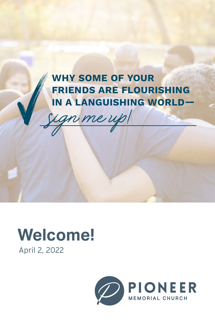### WHY SOME OF YOUR FRIENDS ARE FLOURISHING IN A LANGUISHING WORLD—



# **Welcome!**

April 2, 2022

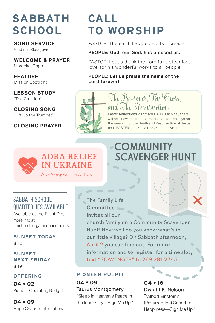## **SABBATH SCHOOL**

**SONG SERVICE**  Vladimir Slavujevic

**WELCOME & PRAYER** Mordekai Ongo

**FEATURE** Mission Spotlight

**LESSON STUDY** "The Creation"

**CLOSING SONG** "Lift Up the Trumpet"

**CLOSING PRAYER**

### **CALL TO WORSHIP**

PASTOR: The earth has yielded its increase;

#### **PEOPLE: God, our God, has blessed us,**

PASTOR: Let us thank the Lord for a steadfast love, for his wonderful works to all people;

The Passover, The Cross,

Easter Reflections 2022: April 3-17. Each day there will be a new email, a text meditation for ten days on the meaning of the Death and Resurrection of Jesus.

and The Resurrection

#### **PEOPLE: Let us praise the name of the Lord forever!**



ADRA RELIEF IN UKRAINE ADRA.org/PartnerWithUs

### **COMMUNITY SCAVENGER HUNT** text "EASTER" to 269.281.2345 to receive it.



Available at the Front Desk more info at pmchurch.org/announcements

**SUNSET TODAY**  $8:12$ 

**SUNSET NEXT FRIDAY** 8:19

#### **OFFERING**

**04 • 02** Pioneer Operating Budget

**04 • 09** Hope Channel International The Family Life Committee invites all our

**COLOR** 

church family on a Community Scavenger Hunt! How well do you know what's in our little village? On Sabbath afternoon, April 2 you can find out! For more information and to register for a time slot, text "SCAVENGER" to 269.281.2345.

#### **PIONEER PULPIT**

**04 • 09** Taurus Montgomery "Sleep in Heavenly Peace in the Inner City—Sign Me Up!"

 $\overline{\phantom{m}}$ **04 • 16** Dwight K. Nelson ""Albert Einstein's (Resurrection) Secret to Happiness—Sign Me Up!"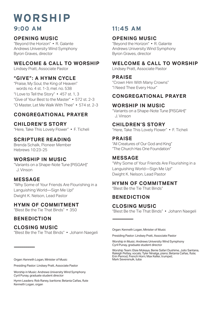### **WORSHIP 9:00 AM 11:45 AM**

#### **OPENING MUSIC**

"Beyond the Horizon" • R. Galante Andrews University Wind Symphony Byron Graves, director

#### **WELCOME & CALL TO WORSHIP**

Lindsey Pratt, Associate Pastor

#### **"GIVE": A HYMN CYCLE**

"Praise, My Soul, the King of Heaven" words no. 4 st. 1-3, mel. no. 538 "I Love to Tell the Story" • 457 st. 1, 3 "Give of Your Best to the Master" • 572 st. 2-3 "O Master, Let Me Walk With Thee" • 574 st. 2-3

#### **CONGREGATIONAL PRAYER**

#### **CHILDREN'S STORY**

"Here, Take This Lovely Flower" • F. Ticheli

#### **SCRIPTURE READING**

Brenda Schalk, Pioneer Member Hebrews 10:23-25

#### **WORSHIP IN MUSIC**

"Variants on a Shape-Note Tune [PISGAH]" J. Vinson

#### **MESSAGE**

"Why Some of Your Friends Are Flourishing in a Languishing World—Sign Me Up!" Dwight K. Nelson, Lead Pastor

#### **HYMN OF COMMITMENT**

"Blest Be the Tie That Binds" • 350

#### **BENEDICTION**

**——————————**

#### **CLOSING MUSIC**

"Blest Be the Tie That Binds" • Johann Naegeli

#### **OPENING MUSIC**

"Beyond the Horizon" • R. Galante Andrews University Wind Symphony Byron Graves, director

#### **WELCOME & CALL TO WORSHIP**

Lindsey Pratt, Associate Pastor

#### **PRAISE**

"Crown Him With Many Crowns" "I Need Thee Every Hour"

#### **CONGREGATIONAL PRAYER**

#### **WORSHIP IN MUSIC**

"Variants on a Shape-Note Tune [PISGAH]" J. Vinson

#### **CHILDREN'S STORY**

"Here, Take This Lovely Flower" • F. Ticheli

#### **PRAISE**

"All Creatures of Our God and King" "The Church Has One Foundation"

#### **MESSAGE**

"Why Some of Your Friends Are Flourishing in a Languishing World—Sign Me Up!" Dwight K. Nelson, Lead Pastor

#### **HYMN OF COMMITMENT**

"Blest Be the Tie That Binds"

#### **BENEDICTION**

**——————————**

#### **CLOSING MUSIC**

"Blest Be the Tie That Binds" • Johann Naegeli

Organ: Kenneth Logan, Minister of Music

Presiding Pastor: Lindsey Pratt, Associate Pastor

Worship in Music: Andrews University Wind Symphony Cyril Punay, graduate student director

Worship Team: Elsie Mokaya, Benie Safari Dushime, Julio Santana, Raleigh Pettey, vocals; Tyler Ninalga, piano; Betania Cañas, flute; Erin Penrod, French Horn; Max Keller, trumpet; Mark Severenuik, tuba

Organ: Kenneth Logan, Minister of Music

Presiding Pastor: Lindsey Pratt, Associate Pastor

Worship in Music: Andrews University Wind Symphony Cyril Punay, graduate student director

Hymn Leaders: Rob Raney, baritone; Betania Cañas, flute Kenneth Logan, organ